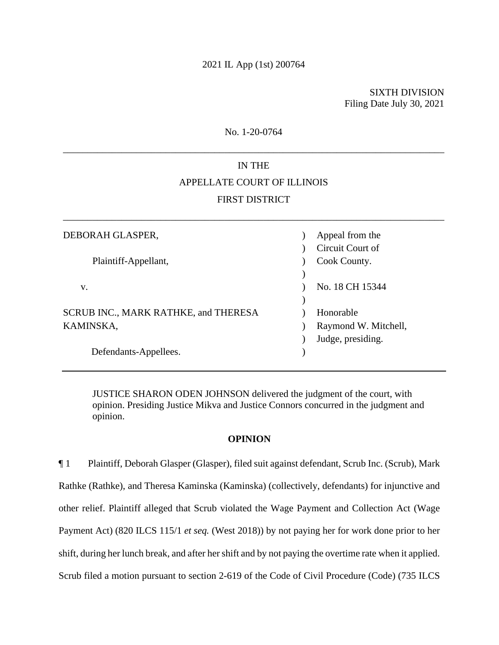SIXTH DIVISION Filing Date July 30, 2021

No. 1-20-0764

\_\_\_\_\_\_\_\_\_\_\_\_\_\_\_\_\_\_\_\_\_\_\_\_\_\_\_\_\_\_\_\_\_\_\_\_\_\_\_\_\_\_\_\_\_\_\_\_\_\_\_\_\_\_\_\_\_\_\_\_\_\_\_\_\_\_\_\_\_\_\_\_\_\_\_\_\_\_

# IN THE APPELLATE COURT OF ILLINOIS FIRST DISTRICT

\_\_\_\_\_\_\_\_\_\_\_\_\_\_\_\_\_\_\_\_\_\_\_\_\_\_\_\_\_\_\_\_\_\_\_\_\_\_\_\_\_\_\_\_\_\_\_\_\_\_\_\_\_\_\_\_\_\_\_\_\_\_\_\_\_\_\_\_\_\_\_\_\_\_\_\_\_\_

| DEBORAH GLASPER,                     | Appeal from the      |
|--------------------------------------|----------------------|
|                                      | Circuit Court of     |
| Plaintiff-Appellant,                 | Cook County.         |
|                                      |                      |
| V.                                   | No. 18 CH 15344      |
|                                      |                      |
| SCRUB INC., MARK RATHKE, and THERESA | Honorable            |
| KAMINSKA,                            | Raymond W. Mitchell, |
|                                      | Judge, presiding.    |
| Defendants-Appellees.                |                      |

JUSTICE SHARON ODEN JOHNSON delivered the judgment of the court, with opinion. Presiding Justice Mikva and Justice Connors concurred in the judgment and opinion.

## **OPINION**

¶ 1 Plaintiff, Deborah Glasper (Glasper), filed suit against defendant, Scrub Inc. (Scrub), Mark Rathke (Rathke), and Theresa Kaminska (Kaminska) (collectively, defendants) for injunctive and other relief. Plaintiff alleged that Scrub violated the Wage Payment and Collection Act (Wage Payment Act) (820 ILCS 115/1 *et seq.* (West 2018)) by not paying her for work done prior to her shift, during her lunch break, and after her shift and by not paying the overtime rate when it applied. Scrub filed a motion pursuant to section 2-619 of the Code of Civil Procedure (Code) (735 ILCS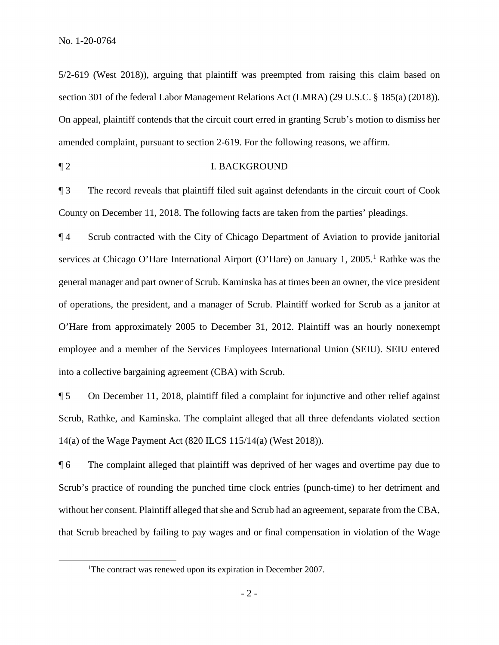5/2-619 (West 2018)), arguing that plaintiff was preempted from raising this claim based on section 301 of the federal Labor Management Relations Act (LMRA) (29 U.S.C. § 185(a) (2018)). On appeal, plaintiff contends that the circuit court erred in granting Scrub's motion to dismiss her amended complaint, pursuant to section 2-619. For the following reasons, we affirm.

¶ 2 I. BACKGROUND

¶ 3 The record reveals that plaintiff filed suit against defendants in the circuit court of Cook County on December 11, 2018. The following facts are taken from the parties' pleadings.

¶ 4 Scrub contracted with the City of Chicago Department of Aviation to provide janitorial services at Chicago O'Hare International Airport (O'Hare) on January 1, 2005.<sup>1</sup> Rathke was the general manager and part owner of Scrub. Kaminska has at times been an owner, the vice president of operations, the president, and a manager of Scrub. Plaintiff worked for Scrub as a janitor at O'Hare from approximately 2005 to December 31, 2012. Plaintiff was an hourly nonexempt employee and a member of the Services Employees International Union (SEIU). SEIU entered into a collective bargaining agreement (CBA) with Scrub.

¶ 5 On December 11, 2018, plaintiff filed a complaint for injunctive and other relief against Scrub, Rathke, and Kaminska. The complaint alleged that all three defendants violated section 14(a) of the Wage Payment Act (820 ILCS 115/14(a) (West 2018)).

¶ 6 The complaint alleged that plaintiff was deprived of her wages and overtime pay due to Scrub's practice of rounding the punched time clock entries (punch-time) to her detriment and without her consent. Plaintiff alleged that she and Scrub had an agreement, separate from the CBA, that Scrub breached by failing to pay wages and or final compensation in violation of the Wage

<sup>&</sup>lt;sup>1</sup>The contract was renewed upon its expiration in December 2007.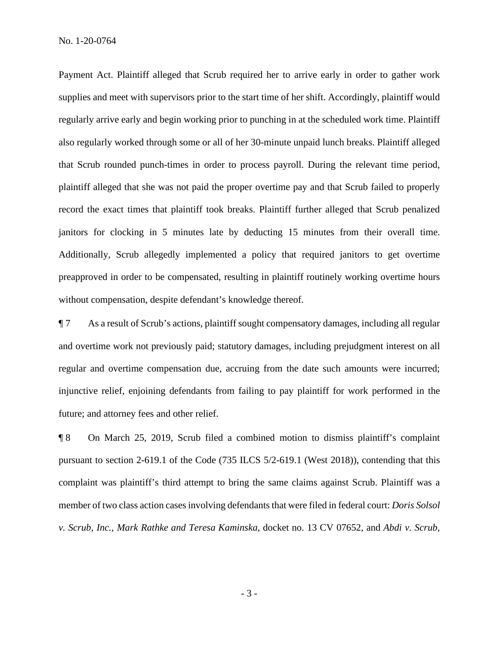Payment Act. Plaintiff alleged that Scrub required her to arrive early in order to gather work supplies and meet with supervisors prior to the start time of her shift. Accordingly, plaintiff would regularly arrive early and begin working prior to punching in at the scheduled work time. Plaintiff also regularly worked through some or all of her 30-minute unpaid lunch breaks. Plaintiff alleged that Scrub rounded punch-times in order to process payroll. During the relevant time period, plaintiff alleged that she was not paid the proper overtime pay and that Scrub failed to properly record the exact times that plaintiff took breaks. Plaintiff further alleged that Scrub penalized janitors for clocking in 5 minutes late by deducting 15 minutes from their overall time. Additionally, Scrub allegedly implemented a policy that required janitors to get overtime preapproved in order to be compensated, resulting in plaintiff routinely working overtime hours without compensation, despite defendant's knowledge thereof.

¶ 7 As a result of Scrub's actions, plaintiff sought compensatory damages, including all regular and overtime work not previously paid; statutory damages, including prejudgment interest on all regular and overtime compensation due, accruing from the date such amounts were incurred; injunctive relief, enjoining defendants from failing to pay plaintiff for work performed in the future; and attorney fees and other relief.

¶ 8 On March 25, 2019, Scrub filed a combined motion to dismiss plaintiff's complaint pursuant to section 2-619.1 of the Code (735 ILCS 5/2-619.1 (West 2018)), contending that this complaint was plaintiff's third attempt to bring the same claims against Scrub. Plaintiff was a member of two class action cases involving defendants that were filed in federal court: *Doris Solsol v. Scrub, Inc., Mark Rathke and Teresa Kaminska*, docket no. 13 CV 07652, and *Abdi v. Scrub,*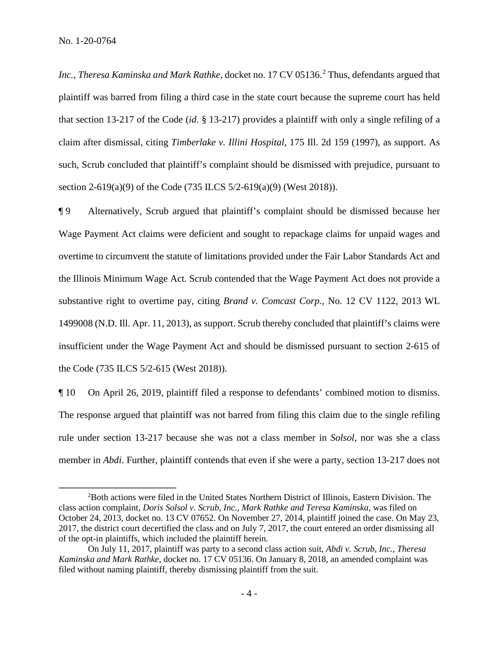No. 1-20-0764

*Inc., Theresa Kaminska and Mark Rathke, docket no.* 17 CV 05136.<sup>2</sup> Thus, defendants argued that plaintiff was barred from filing a third case in the state court because the supreme court has held that section 13-217 of the Code (*id.* § 13-217) provides a plaintiff with only a single refiling of a claim after dismissal, citing *Timberlake v. Illini Hospital*, 175 Ill. 2d 159 (1997), as support. As such, Scrub concluded that plaintiff's complaint should be dismissed with prejudice, pursuant to section 2-619(a)(9) of the Code (735 ILCS 5/2-619(a)(9) (West 2018)).

¶ 9 Alternatively, Scrub argued that plaintiff's complaint should be dismissed because her Wage Payment Act claims were deficient and sought to repackage claims for unpaid wages and overtime to circumvent the statute of limitations provided under the Fair Labor Standards Act and the Illinois Minimum Wage Act. Scrub contended that the Wage Payment Act does not provide a substantive right to overtime pay, citing *Brand v. Comcast Corp.*, No. 12 CV 1122, 2013 WL 1499008 (N.D. Ill. Apr. 11, 2013), as support. Scrub thereby concluded that plaintiff's claims were insufficient under the Wage Payment Act and should be dismissed pursuant to section 2-615 of the Code (735 ILCS 5/2-615 (West 2018)).

¶ 10 On April 26, 2019, plaintiff filed a response to defendants' combined motion to dismiss. The response argued that plaintiff was not barred from filing this claim due to the single refiling rule under section 13-217 because she was not a class member in *Solsol*, nor was she a class member in *Abdi*. Further, plaintiff contends that even if she were a party, section 13-217 does not

<sup>2</sup> Both actions were filed in the United States Northern District of Illinois, Eastern Division. The class action complaint, *Doris Solsol v. Scrub, Inc., Mark Rathke and Teresa Kaminska*, was filed on October 24, 2013, docket no. 13 CV 07652. On November 27, 2014, plaintiff joined the case. On May 23, 2017, the district court decertified the class and on July 7, 2017, the court entered an order dismissing all of the opt-in plaintiffs, which included the plaintiff herein.

On July 11, 2017, plaintiff was party to a second class action suit, *Abdi v. Scrub, Inc., Theresa Kaminska and Mark Rathke*, docket no. 17 CV 05136. On January 8, 2018, an amended complaint was filed without naming plaintiff, thereby dismissing plaintiff from the suit.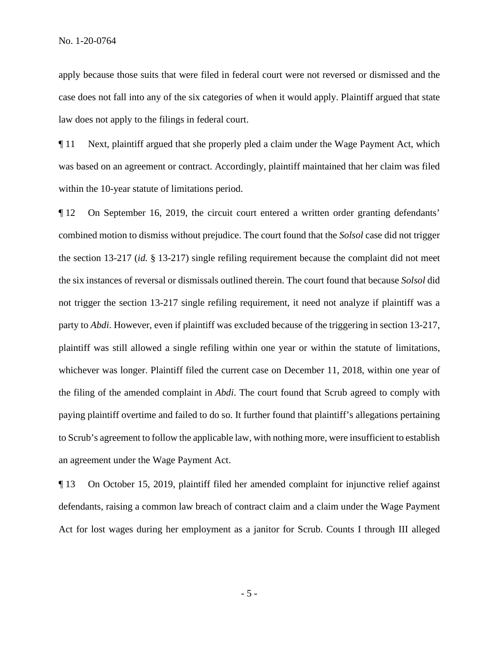apply because those suits that were filed in federal court were not reversed or dismissed and the case does not fall into any of the six categories of when it would apply. Plaintiff argued that state law does not apply to the filings in federal court.

¶ 11 Next, plaintiff argued that she properly pled a claim under the Wage Payment Act, which was based on an agreement or contract. Accordingly, plaintiff maintained that her claim was filed within the 10-year statute of limitations period.

¶ 12 On September 16, 2019, the circuit court entered a written order granting defendants' combined motion to dismiss without prejudice. The court found that the *Solsol* case did not trigger the section 13-217 (*id.* § 13-217) single refiling requirement because the complaint did not meet the six instances of reversal or dismissals outlined therein. The court found that because *Solsol* did not trigger the section 13-217 single refiling requirement, it need not analyze if plaintiff was a party to *Abdi*. However, even if plaintiff was excluded because of the triggering in section 13-217, plaintiff was still allowed a single refiling within one year or within the statute of limitations, whichever was longer. Plaintiff filed the current case on December 11, 2018, within one year of the filing of the amended complaint in *Abdi*. The court found that Scrub agreed to comply with paying plaintiff overtime and failed to do so. It further found that plaintiff's allegations pertaining to Scrub's agreement to follow the applicable law, with nothing more, were insufficient to establish an agreement under the Wage Payment Act.

¶ 13 On October 15, 2019, plaintiff filed her amended complaint for injunctive relief against defendants, raising a common law breach of contract claim and a claim under the Wage Payment Act for lost wages during her employment as a janitor for Scrub. Counts I through III alleged

- 5 -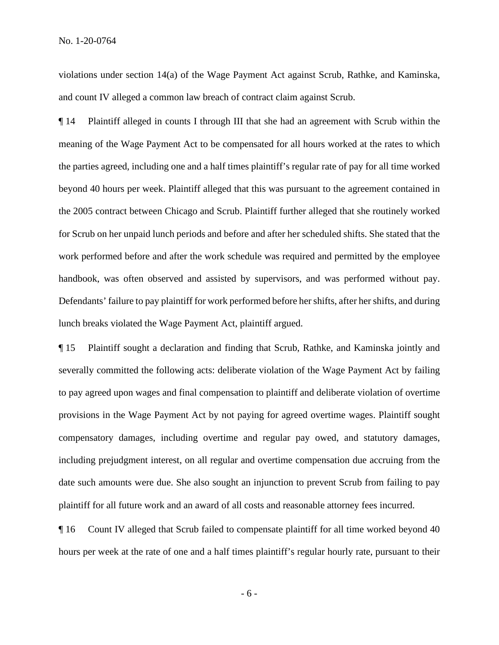violations under section 14(a) of the Wage Payment Act against Scrub, Rathke, and Kaminska, and count IV alleged a common law breach of contract claim against Scrub.

¶ 14 Plaintiff alleged in counts I through III that she had an agreement with Scrub within the meaning of the Wage Payment Act to be compensated for all hours worked at the rates to which the parties agreed, including one and a half times plaintiff's regular rate of pay for all time worked beyond 40 hours per week. Plaintiff alleged that this was pursuant to the agreement contained in the 2005 contract between Chicago and Scrub. Plaintiff further alleged that she routinely worked for Scrub on her unpaid lunch periods and before and after her scheduled shifts. She stated that the work performed before and after the work schedule was required and permitted by the employee handbook, was often observed and assisted by supervisors, and was performed without pay. Defendants' failure to pay plaintiff for work performed before her shifts, after her shifts, and during lunch breaks violated the Wage Payment Act, plaintiff argued.

¶ 15 Plaintiff sought a declaration and finding that Scrub, Rathke, and Kaminska jointly and severally committed the following acts: deliberate violation of the Wage Payment Act by failing to pay agreed upon wages and final compensation to plaintiff and deliberate violation of overtime provisions in the Wage Payment Act by not paying for agreed overtime wages. Plaintiff sought compensatory damages, including overtime and regular pay owed, and statutory damages, including prejudgment interest, on all regular and overtime compensation due accruing from the date such amounts were due. She also sought an injunction to prevent Scrub from failing to pay plaintiff for all future work and an award of all costs and reasonable attorney fees incurred.

¶ 16 Count IV alleged that Scrub failed to compensate plaintiff for all time worked beyond 40 hours per week at the rate of one and a half times plaintiff's regular hourly rate, pursuant to their

- 6 -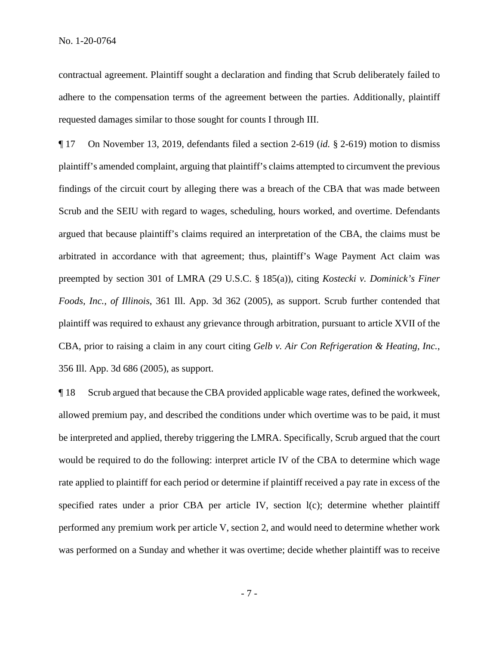contractual agreement. Plaintiff sought a declaration and finding that Scrub deliberately failed to adhere to the compensation terms of the agreement between the parties. Additionally, plaintiff requested damages similar to those sought for counts I through III.

¶ 17 On November 13, 2019, defendants filed a section 2-619 (*id.* § 2-619) motion to dismiss plaintiff's amended complaint, arguing that plaintiff's claims attempted to circumvent the previous findings of the circuit court by alleging there was a breach of the CBA that was made between Scrub and the SEIU with regard to wages, scheduling, hours worked, and overtime. Defendants argued that because plaintiff's claims required an interpretation of the CBA, the claims must be arbitrated in accordance with that agreement; thus, plaintiff's Wage Payment Act claim was preempted by section 301 of LMRA (29 U.S.C. § 185(a)), citing *Kostecki v. Dominick's Finer Foods, Inc., of Illinois*, 361 Ill. App. 3d 362 (2005), as support. Scrub further contended that plaintiff was required to exhaust any grievance through arbitration, pursuant to article XVII of the CBA, prior to raising a claim in any court citing *Gelb v. Air Con Refrigeration & Heating, Inc.*, 356 Ill. App. 3d 686 (2005), as support.

¶ 18 Scrub argued that because the CBA provided applicable wage rates, defined the workweek, allowed premium pay, and described the conditions under which overtime was to be paid, it must be interpreted and applied, thereby triggering the LMRA. Specifically, Scrub argued that the court would be required to do the following: interpret article IV of the CBA to determine which wage rate applied to plaintiff for each period or determine if plaintiff received a pay rate in excess of the specified rates under a prior CBA per article IV, section l(c); determine whether plaintiff performed any premium work per article V, section 2, and would need to determine whether work was performed on a Sunday and whether it was overtime; decide whether plaintiff was to receive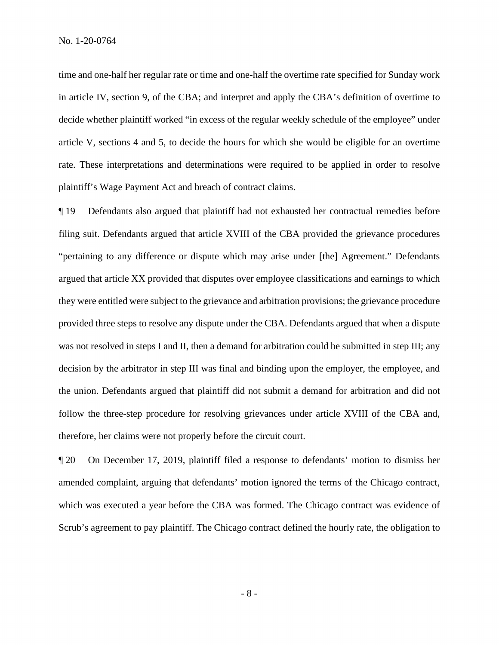time and one-half her regular rate or time and one-half the overtime rate specified for Sunday work in article IV, section 9, of the CBA; and interpret and apply the CBA's definition of overtime to decide whether plaintiff worked "in excess of the regular weekly schedule of the employee" under article V, sections 4 and 5, to decide the hours for which she would be eligible for an overtime rate. These interpretations and determinations were required to be applied in order to resolve plaintiff's Wage Payment Act and breach of contract claims.

¶ 19 Defendants also argued that plaintiff had not exhausted her contractual remedies before filing suit. Defendants argued that article XVIII of the CBA provided the grievance procedures "pertaining to any difference or dispute which may arise under [the] Agreement." Defendants argued that article XX provided that disputes over employee classifications and earnings to which they were entitled were subject to the grievance and arbitration provisions; the grievance procedure provided three steps to resolve any dispute under the CBA. Defendants argued that when a dispute was not resolved in steps I and II, then a demand for arbitration could be submitted in step III; any decision by the arbitrator in step III was final and binding upon the employer, the employee, and the union. Defendants argued that plaintiff did not submit a demand for arbitration and did not follow the three-step procedure for resolving grievances under article XVIII of the CBA and, therefore, her claims were not properly before the circuit court.

¶ 20 On December 17, 2019, plaintiff filed a response to defendants' motion to dismiss her amended complaint, arguing that defendants' motion ignored the terms of the Chicago contract, which was executed a year before the CBA was formed. The Chicago contract was evidence of Scrub's agreement to pay plaintiff. The Chicago contract defined the hourly rate, the obligation to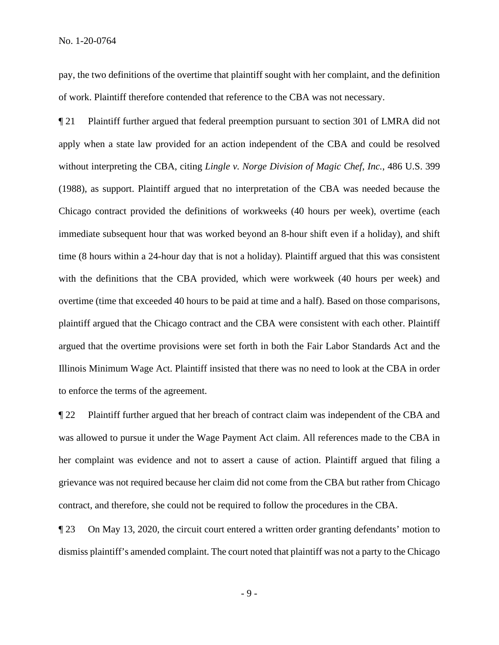pay, the two definitions of the overtime that plaintiff sought with her complaint, and the definition of work. Plaintiff therefore contended that reference to the CBA was not necessary.

¶ 21 Plaintiff further argued that federal preemption pursuant to section 301 of LMRA did not apply when a state law provided for an action independent of the CBA and could be resolved without interpreting the CBA, citing *Lingle v. Norge Division of Magic Chef, Inc.*, 486 U.S. 399 (1988), as support. Plaintiff argued that no interpretation of the CBA was needed because the Chicago contract provided the definitions of workweeks (40 hours per week), overtime (each immediate subsequent hour that was worked beyond an 8-hour shift even if a holiday), and shift time (8 hours within a 24-hour day that is not a holiday). Plaintiff argued that this was consistent with the definitions that the CBA provided, which were workweek (40 hours per week) and overtime (time that exceeded 40 hours to be paid at time and a half). Based on those comparisons, plaintiff argued that the Chicago contract and the CBA were consistent with each other. Plaintiff argued that the overtime provisions were set forth in both the Fair Labor Standards Act and the Illinois Minimum Wage Act. Plaintiff insisted that there was no need to look at the CBA in order to enforce the terms of the agreement.

¶ 22 Plaintiff further argued that her breach of contract claim was independent of the CBA and was allowed to pursue it under the Wage Payment Act claim. All references made to the CBA in her complaint was evidence and not to assert a cause of action. Plaintiff argued that filing a grievance was not required because her claim did not come from the CBA but rather from Chicago contract, and therefore, she could not be required to follow the procedures in the CBA.

¶ 23 On May 13, 2020, the circuit court entered a written order granting defendants' motion to dismiss plaintiff's amended complaint. The court noted that plaintiff was not a party to the Chicago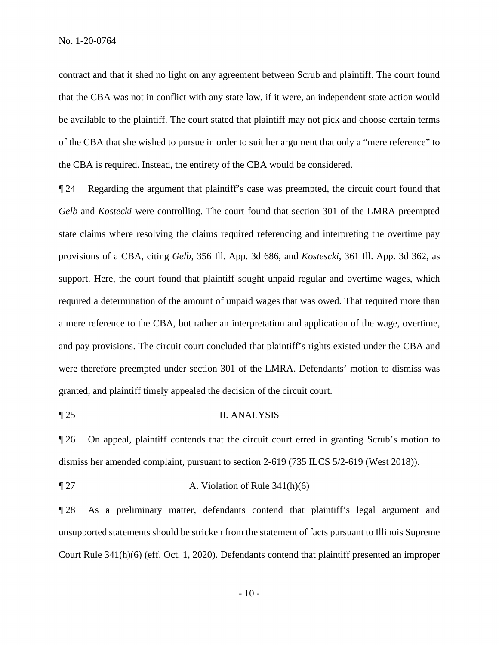contract and that it shed no light on any agreement between Scrub and plaintiff. The court found that the CBA was not in conflict with any state law, if it were, an independent state action would be available to the plaintiff. The court stated that plaintiff may not pick and choose certain terms of the CBA that she wished to pursue in order to suit her argument that only a "mere reference" to the CBA is required. Instead, the entirety of the CBA would be considered.

¶ 24 Regarding the argument that plaintiff's case was preempted, the circuit court found that *Gelb* and *Kostecki* were controlling. The court found that section 301 of the LMRA preempted state claims where resolving the claims required referencing and interpreting the overtime pay provisions of a CBA, citing *Gelb*, 356 Ill. App. 3d 686, and *Kostescki*, 361 Ill. App. 3d 362, as support. Here, the court found that plaintiff sought unpaid regular and overtime wages, which required a determination of the amount of unpaid wages that was owed. That required more than a mere reference to the CBA, but rather an interpretation and application of the wage, overtime, and pay provisions. The circuit court concluded that plaintiff's rights existed under the CBA and were therefore preempted under section 301 of the LMRA. Defendants' motion to dismiss was granted, and plaintiff timely appealed the decision of the circuit court.

#### ¶ 25 II. ANALYSIS

¶ 26 On appeal, plaintiff contends that the circuit court erred in granting Scrub's motion to dismiss her amended complaint, pursuant to section 2-619 (735 ILCS 5/2-619 (West 2018)).

 $\llbracket 27 \right.$  A. Violation of Rule 341(h)(6)

¶ 28 As a preliminary matter, defendants contend that plaintiff's legal argument and unsupported statements should be stricken from the statement of facts pursuant to Illinois Supreme Court Rule 341(h)(6) (eff. Oct. 1, 2020). Defendants contend that plaintiff presented an improper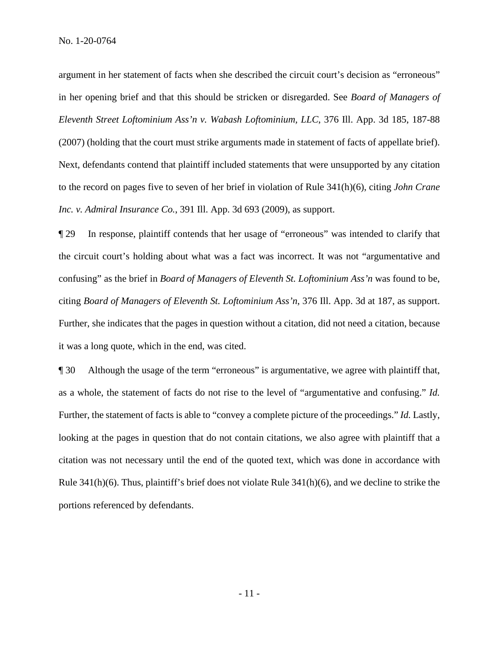argument in her statement of facts when she described the circuit court's decision as "erroneous" in her opening brief and that this should be stricken or disregarded. See *Board of Managers of Eleventh Street Loftominium Ass'n v. Wabash Loftominium, LLC*, 376 Ill. App. 3d 185, 187-88 (2007) (holding that the court must strike arguments made in statement of facts of appellate brief). Next, defendants contend that plaintiff included statements that were unsupported by any citation to the record on pages five to seven of her brief in violation of Rule 341(h)(6), citing *John Crane Inc. v. Admiral Insurance Co.*, 391 Ill. App. 3d 693 (2009), as support.

¶ 29 In response, plaintiff contends that her usage of "erroneous" was intended to clarify that the circuit court's holding about what was a fact was incorrect. It was not "argumentative and confusing" as the brief in *Board of Managers of Eleventh St. Loftominium Ass'n* was found to be, citing *Board of Managers of Eleventh St. Loftominium Ass'n*, 376 Ill. App. 3d at 187, as support. Further, she indicates that the pages in question without a citation, did not need a citation, because it was a long quote, which in the end, was cited.

¶ 30 Although the usage of the term "erroneous" is argumentative, we agree with plaintiff that, as a whole, the statement of facts do not rise to the level of "argumentative and confusing." *Id.* Further, the statement of facts is able to "convey a complete picture of the proceedings." *Id.* Lastly, looking at the pages in question that do not contain citations, we also agree with plaintiff that a citation was not necessary until the end of the quoted text, which was done in accordance with Rule 341(h)(6). Thus, plaintiff's brief does not violate Rule 341(h)(6), and we decline to strike the portions referenced by defendants.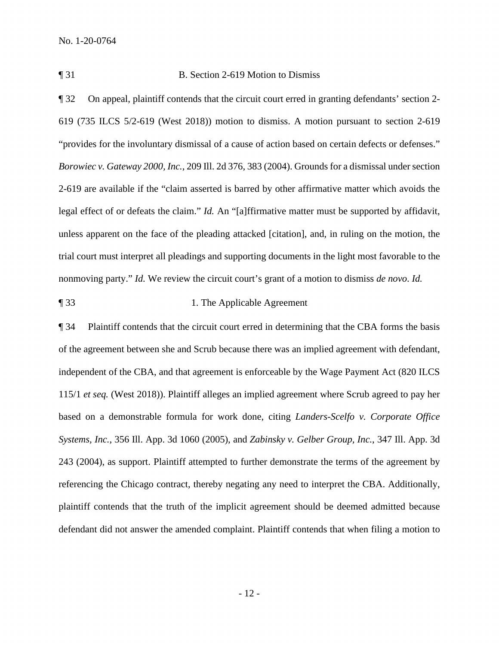### ¶ 31 B. Section 2-619 Motion to Dismiss

¶ 32 On appeal, plaintiff contends that the circuit court erred in granting defendants' section 2- 619 (735 ILCS 5/2-619 (West 2018)) motion to dismiss. A motion pursuant to section 2-619 "provides for the involuntary dismissal of a cause of action based on certain defects or defenses." *Borowiec v. Gateway 2000, Inc.*, 209 Ill. 2d 376, 383 (2004). Grounds for a dismissal under section 2-619 are available if the "claim asserted is barred by other affirmative matter which avoids the legal effect of or defeats the claim." *Id.* An "[a]ffirmative matter must be supported by affidavit, unless apparent on the face of the pleading attacked [citation], and, in ruling on the motion, the trial court must interpret all pleadings and supporting documents in the light most favorable to the nonmoving party." *Id.* We review the circuit court's grant of a motion to dismiss *de novo*. *Id.*

### ¶ 33 1. The Applicable Agreement

¶ 34 Plaintiff contends that the circuit court erred in determining that the CBA forms the basis of the agreement between she and Scrub because there was an implied agreement with defendant, independent of the CBA, and that agreement is enforceable by the Wage Payment Act (820 ILCS 115/1 *et seq.* (West 2018)). Plaintiff alleges an implied agreement where Scrub agreed to pay her based on a demonstrable formula for work done, citing *Landers-Scelfo v. Corporate Office Systems, Inc.*, 356 Ill. App. 3d 1060 (2005), and *Zabinsky v. Gelber Group, Inc.*, 347 Ill. App. 3d 243 (2004), as support. Plaintiff attempted to further demonstrate the terms of the agreement by referencing the Chicago contract, thereby negating any need to interpret the CBA. Additionally, plaintiff contends that the truth of the implicit agreement should be deemed admitted because defendant did not answer the amended complaint. Plaintiff contends that when filing a motion to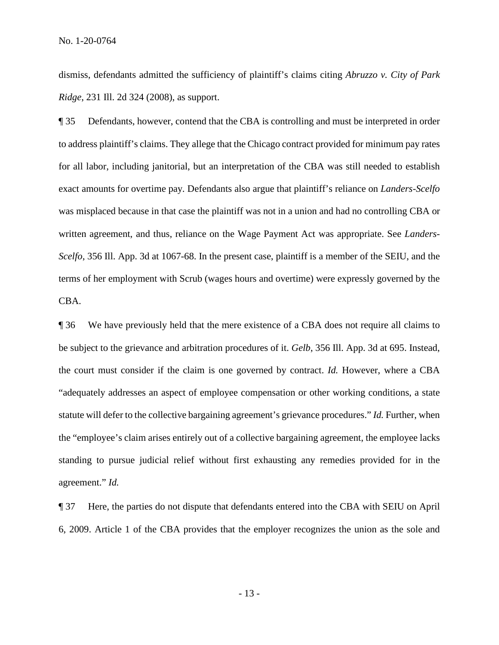dismiss, defendants admitted the sufficiency of plaintiff's claims citing *Abruzzo v. City of Park Ridge*, 231 Ill. 2d 324 (2008), as support.

¶ 35 Defendants, however, contend that the CBA is controlling and must be interpreted in order to address plaintiff's claims. They allege that the Chicago contract provided for minimum pay rates for all labor, including janitorial, but an interpretation of the CBA was still needed to establish exact amounts for overtime pay*.* Defendants also argue that plaintiff's reliance on *Landers-Scelfo* was misplaced because in that case the plaintiff was not in a union and had no controlling CBA or written agreement, and thus, reliance on the Wage Payment Act was appropriate. See *Landers-Scelfo*, 356 Ill. App. 3d at 1067-68. In the present case, plaintiff is a member of the SEIU, and the terms of her employment with Scrub (wages hours and overtime) were expressly governed by the CBA.

¶ 36 We have previously held that the mere existence of a CBA does not require all claims to be subject to the grievance and arbitration procedures of it. *Gelb*, 356 Ill. App. 3d at 695. Instead, the court must consider if the claim is one governed by contract. *Id.* However, where a CBA "adequately addresses an aspect of employee compensation or other working conditions, a state statute will defer to the collective bargaining agreement's grievance procedures." *Id.* Further, when the "employee's claim arises entirely out of a collective bargaining agreement, the employee lacks standing to pursue judicial relief without first exhausting any remedies provided for in the agreement." *Id.*

¶ 37 Here, the parties do not dispute that defendants entered into the CBA with SEIU on April 6, 2009. Article 1 of the CBA provides that the employer recognizes the union as the sole and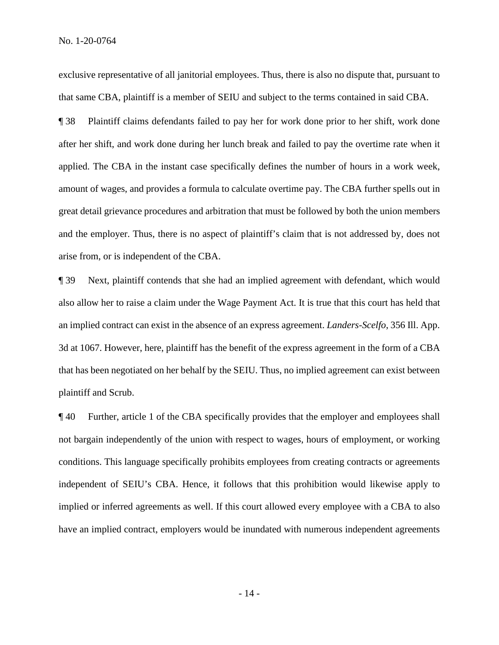No. 1-20-0764

exclusive representative of all janitorial employees. Thus, there is also no dispute that, pursuant to that same CBA, plaintiff is a member of SEIU and subject to the terms contained in said CBA.

¶ 38 Plaintiff claims defendants failed to pay her for work done prior to her shift, work done after her shift, and work done during her lunch break and failed to pay the overtime rate when it applied. The CBA in the instant case specifically defines the number of hours in a work week, amount of wages, and provides a formula to calculate overtime pay. The CBA further spells out in great detail grievance procedures and arbitration that must be followed by both the union members and the employer. Thus, there is no aspect of plaintiff's claim that is not addressed by, does not arise from, or is independent of the CBA.

¶ 39 Next, plaintiff contends that she had an implied agreement with defendant, which would also allow her to raise a claim under the Wage Payment Act. It is true that this court has held that an implied contract can exist in the absence of an express agreement. *Landers-Scelfo*, 356 Ill. App. 3d at 1067. However, here, plaintiff has the benefit of the express agreement in the form of a CBA that has been negotiated on her behalf by the SEIU. Thus, no implied agreement can exist between plaintiff and Scrub.

¶ 40 Further, article 1 of the CBA specifically provides that the employer and employees shall not bargain independently of the union with respect to wages, hours of employment, or working conditions. This language specifically prohibits employees from creating contracts or agreements independent of SEIU's CBA. Hence, it follows that this prohibition would likewise apply to implied or inferred agreements as well. If this court allowed every employee with a CBA to also have an implied contract, employers would be inundated with numerous independent agreements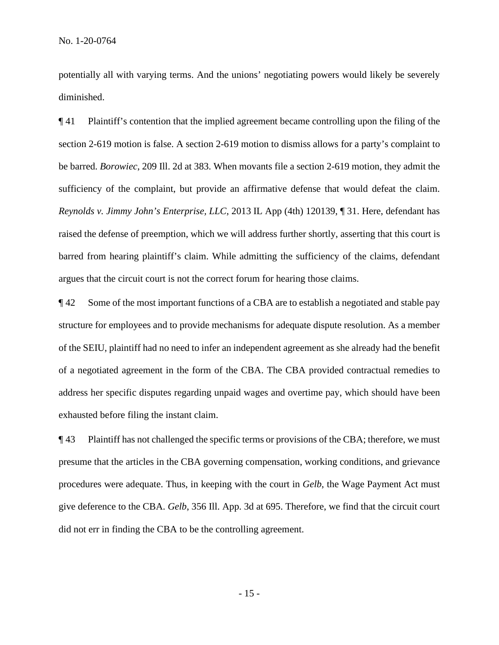potentially all with varying terms. And the unions' negotiating powers would likely be severely diminished.

¶ 41 Plaintiff's contention that the implied agreement became controlling upon the filing of the section 2-619 motion is false. A section 2-619 motion to dismiss allows for a party's complaint to be barred. *Borowiec*, 209 Ill. 2d at 383. When movants file a section 2-619 motion, they admit the sufficiency of the complaint, but provide an affirmative defense that would defeat the claim. *Reynolds v. Jimmy John's Enterprise, LLC*, 2013 IL App (4th) 120139, ¶ 31. Here, defendant has raised the defense of preemption, which we will address further shortly, asserting that this court is barred from hearing plaintiff's claim. While admitting the sufficiency of the claims, defendant argues that the circuit court is not the correct forum for hearing those claims.

¶ 42 Some of the most important functions of a CBA are to establish a negotiated and stable pay structure for employees and to provide mechanisms for adequate dispute resolution. As a member of the SEIU, plaintiff had no need to infer an independent agreement as she already had the benefit of a negotiated agreement in the form of the CBA. The CBA provided contractual remedies to address her specific disputes regarding unpaid wages and overtime pay, which should have been exhausted before filing the instant claim.

¶ 43 Plaintiff has not challenged the specific terms or provisions of the CBA; therefore, we must presume that the articles in the CBA governing compensation, working conditions, and grievance procedures were adequate. Thus, in keeping with the court in *Gelb*, the Wage Payment Act must give deference to the CBA. *Gelb*, 356 Ill. App. 3d at 695. Therefore, we find that the circuit court did not err in finding the CBA to be the controlling agreement.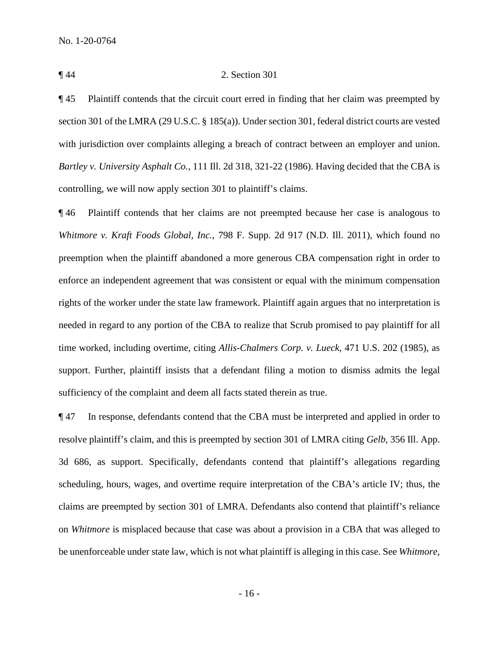#### ¶ 44 2. Section 301

¶ 45 Plaintiff contends that the circuit court erred in finding that her claim was preempted by section 301 of the LMRA (29 U.S.C. § 185(a)). Under section 301, federal district courts are vested with jurisdiction over complaints alleging a breach of contract between an employer and union. *Bartley v. University Asphalt Co.*, 111 Ill. 2d 318, 321-22 (1986). Having decided that the CBA is controlling, we will now apply section 301 to plaintiff's claims.

¶ 46 Plaintiff contends that her claims are not preempted because her case is analogous to *Whitmore v. Kraft Foods Global, Inc.*, 798 F. Supp. 2d 917 (N.D. Ill. 2011), which found no preemption when the plaintiff abandoned a more generous CBA compensation right in order to enforce an independent agreement that was consistent or equal with the minimum compensation rights of the worker under the state law framework. Plaintiff again argues that no interpretation is needed in regard to any portion of the CBA to realize that Scrub promised to pay plaintiff for all time worked, including overtime, citing *Allis-Chalmers Corp. v. Lueck*, 471 U.S. 202 (1985), as support. Further, plaintiff insists that a defendant filing a motion to dismiss admits the legal sufficiency of the complaint and deem all facts stated therein as true.

¶ 47 In response, defendants contend that the CBA must be interpreted and applied in order to resolve plaintiff's claim, and this is preempted by section 301 of LMRA citing *Gelb*, 356 Ill. App. 3d 686, as support. Specifically, defendants contend that plaintiff's allegations regarding scheduling, hours, wages, and overtime require interpretation of the CBA's article IV; thus, the claims are preempted by section 301 of LMRA. Defendants also contend that plaintiff's reliance on *Whitmore* is misplaced because that case was about a provision in a CBA that was alleged to be unenforceable under state law, which is not what plaintiff is alleging in this case. See *Whitmore*,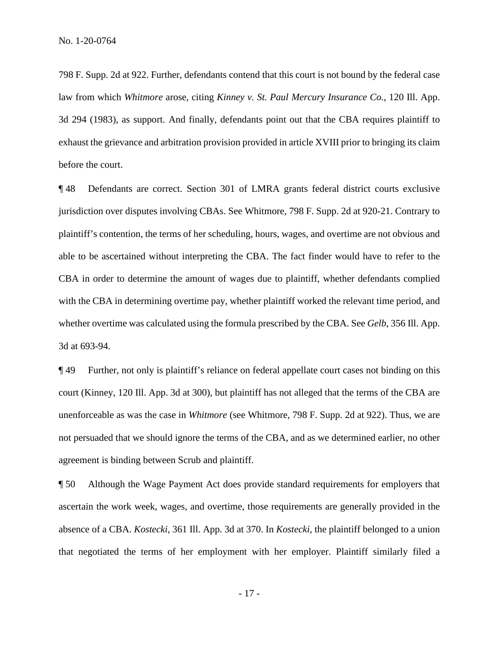798 F. Supp. 2d at 922. Further, defendants contend that this court is not bound by the federal case law from which *Whitmore* arose, citing *Kinney v. St. Paul Mercury Insurance Co.*, 120 Ill. App. 3d 294 (1983), as support. And finally, defendants point out that the CBA requires plaintiff to exhaust the grievance and arbitration provision provided in article XVIII prior to bringing its claim before the court.

¶ 48 Defendants are correct. Section 301 of LMRA grants federal district courts exclusive jurisdiction over disputes involving CBAs. See Whitmore, 798 F. Supp. 2d at 920-21. Contrary to plaintiff's contention, the terms of her scheduling, hours, wages, and overtime are not obvious and able to be ascertained without interpreting the CBA. The fact finder would have to refer to the CBA in order to determine the amount of wages due to plaintiff, whether defendants complied with the CBA in determining overtime pay, whether plaintiff worked the relevant time period, and whether overtime was calculated using the formula prescribed by the CBA. See *Gelb*, 356 Ill. App. 3d at 693-94.

¶ 49 Further, not only is plaintiff's reliance on federal appellate court cases not binding on this court (Kinney, 120 Ill. App. 3d at 300), but plaintiff has not alleged that the terms of the CBA are unenforceable as was the case in *Whitmore* (see Whitmore, 798 F. Supp. 2d at 922). Thus, we are not persuaded that we should ignore the terms of the CBA, and as we determined earlier, no other agreement is binding between Scrub and plaintiff.

¶ 50 Although the Wage Payment Act does provide standard requirements for employers that ascertain the work week, wages, and overtime, those requirements are generally provided in the absence of a CBA. *Kostecki*, 361 Ill. App. 3d at 370. In *Kostecki*, the plaintiff belonged to a union that negotiated the terms of her employment with her employer. Plaintiff similarly filed a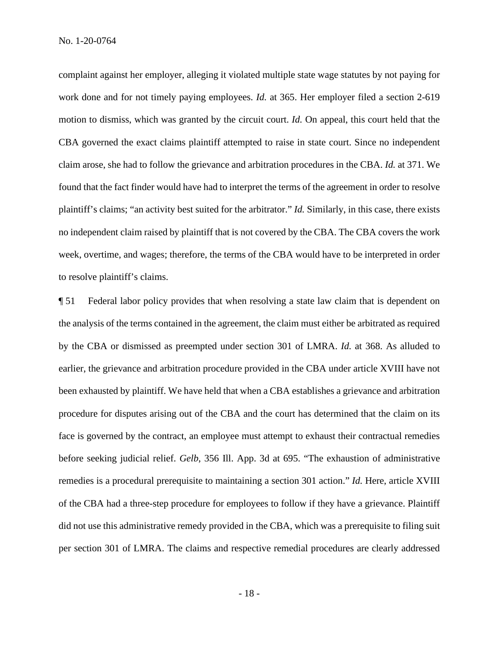complaint against her employer, alleging it violated multiple state wage statutes by not paying for work done and for not timely paying employees. *Id.* at 365. Her employer filed a section 2-619 motion to dismiss, which was granted by the circuit court. *Id.* On appeal, this court held that the CBA governed the exact claims plaintiff attempted to raise in state court. Since no independent claim arose, she had to follow the grievance and arbitration procedures in the CBA. *Id.* at 371. We found that the fact finder would have had to interpret the terms of the agreement in order to resolve plaintiff's claims; "an activity best suited for the arbitrator." *Id.* Similarly, in this case, there exists no independent claim raised by plaintiff that is not covered by the CBA. The CBA covers the work week, overtime, and wages; therefore, the terms of the CBA would have to be interpreted in order to resolve plaintiff's claims.

¶ 51 Federal labor policy provides that when resolving a state law claim that is dependent on the analysis of the terms contained in the agreement, the claim must either be arbitrated as required by the CBA or dismissed as preempted under section 301 of LMRA. *Id.* at 368. As alluded to earlier, the grievance and arbitration procedure provided in the CBA under article XVIII have not been exhausted by plaintiff. We have held that when a CBA establishes a grievance and arbitration procedure for disputes arising out of the CBA and the court has determined that the claim on its face is governed by the contract, an employee must attempt to exhaust their contractual remedies before seeking judicial relief. *Gelb*, 356 Ill. App. 3d at 695. "The exhaustion of administrative remedies is a procedural prerequisite to maintaining a section 301 action." *Id.* Here, article XVIII of the CBA had a three-step procedure for employees to follow if they have a grievance. Plaintiff did not use this administrative remedy provided in the CBA, which was a prerequisite to filing suit per section 301 of LMRA. The claims and respective remedial procedures are clearly addressed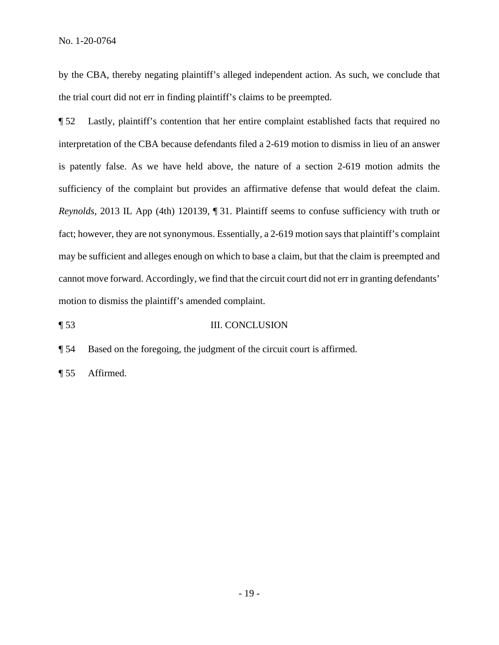by the CBA, thereby negating plaintiff's alleged independent action. As such, we conclude that the trial court did not err in finding plaintiff's claims to be preempted.

¶ 52 Lastly, plaintiff's contention that her entire complaint established facts that required no interpretation of the CBA because defendants filed a 2-619 motion to dismiss in lieu of an answer is patently false. As we have held above, the nature of a section 2-619 motion admits the sufficiency of the complaint but provides an affirmative defense that would defeat the claim. *Reynolds*, 2013 IL App (4th) 120139, ¶ 31. Plaintiff seems to confuse sufficiency with truth or fact; however, they are not synonymous. Essentially, a 2-619 motion says that plaintiff's complaint may be sufficient and alleges enough on which to base a claim, but that the claim is preempted and cannot move forward. Accordingly, we find that the circuit court did not err in granting defendants' motion to dismiss the plaintiff's amended complaint.

¶ 53 III. CONCLUSION

¶ 54 Based on the foregoing, the judgment of the circuit court is affirmed.

¶ 55 Affirmed.